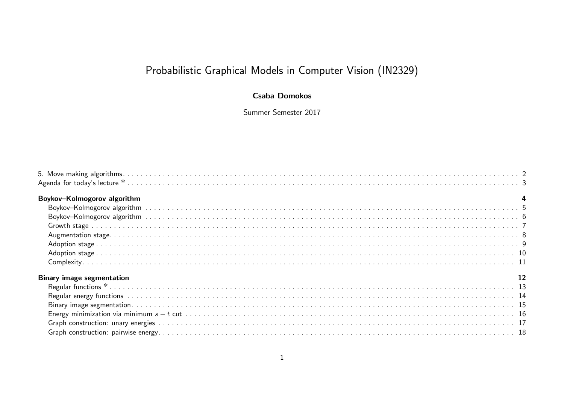# Probabilistic Graphical Models in Computer Vision (IN2329)

# **Csaba Domokos**

Summer Semester 2017

| Boykov-Kolmogorov algorithm      |  |
|----------------------------------|--|
|                                  |  |
|                                  |  |
|                                  |  |
|                                  |  |
|                                  |  |
|                                  |  |
|                                  |  |
| <b>Binary image segmentation</b> |  |
|                                  |  |
|                                  |  |
|                                  |  |
|                                  |  |
|                                  |  |
|                                  |  |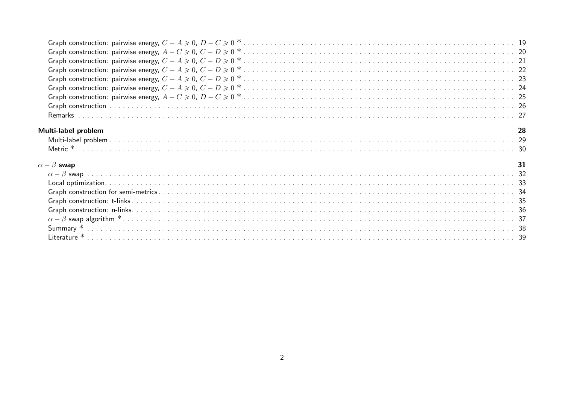| <b>M</b> Let Let all a selections | $\cap$ |
|-----------------------------------|--------|
| Multi-label problem               | 28     |
|                                   |        |
|                                   |        |
|                                   |        |
|                                   |        |
|                                   |        |
|                                   |        |
|                                   |        |
|                                   |        |
|                                   |        |

| Multi-label problem |  |
|---------------------|--|
| Metric              |  |
|                     |  |
| ์ swap              |  |

# $\alpha - \beta$  swap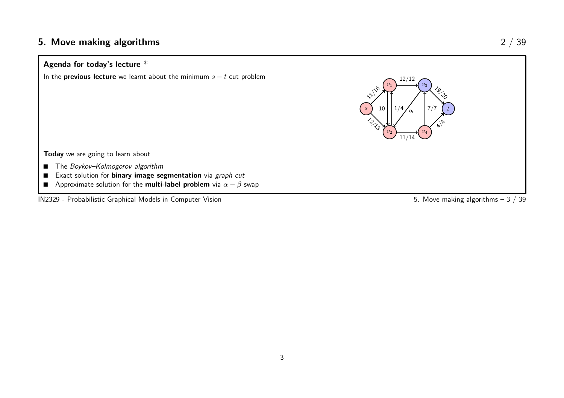# 5. Move making algorithms  $2 / 39$

#### Agenda for today's lecture  $*$ In the **previous lecture** we learnt about the minimum  $s - t$  cut problem s  $\scriptstyle v_1$  $\scriptstyle v_2$  $\scriptstyle v_3$  $\scriptstyle v_4$ t  $\left\langle \mathbf{y} \right\rangle_{\mathbf{y}}$  $\left\langle 0\right\rangle$ 10 12/12 1/4 11/14 0 19/20 7/7  $\omega^{\alpha}$ Today we are going to learn about ■ The Boykov–Kolmogorov algorithm ■ Exact solution for **binary image segmentation** via graph cut **Approximate solution for the multi-label problem** via  $\alpha - \beta$  swap

<span id="page-2-1"></span><span id="page-2-0"></span>IN2329 - Probabilistic Graphical Models in Computer Vision 5. Move making algorithms – 3 / 39

<span id="page-2-2"></span>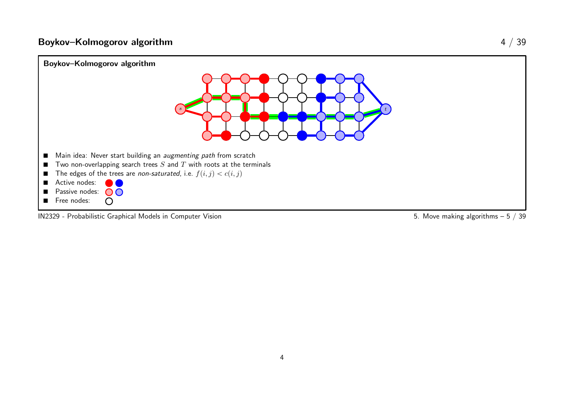

<span id="page-3-0"></span> $\overline{IN2329}$  - Probabilistic Graphical Models in Computer Vision 5. Move making algorithms – 5 / 39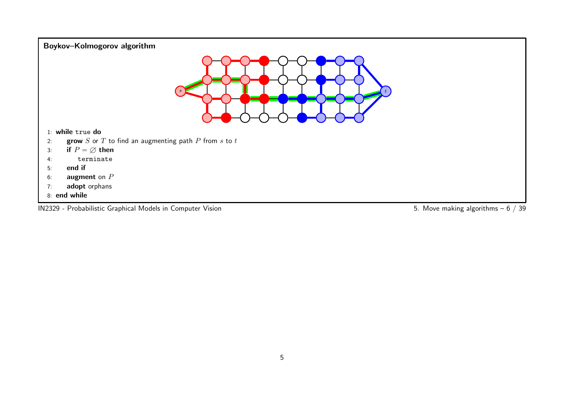<span id="page-4-0"></span>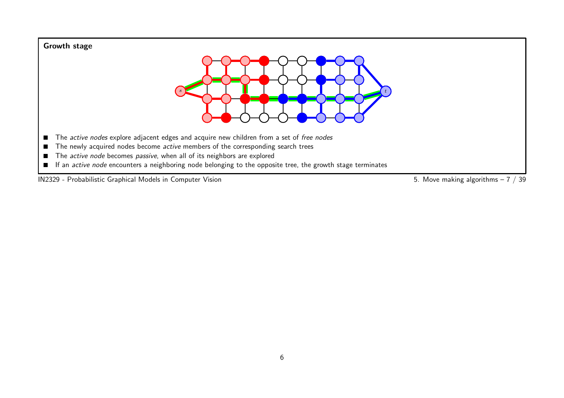

<span id="page-5-0"></span>IN2329 - Probabilistic Graphical Models in Computer Vision  $\overline{5}$ . Move making algorithms – 7 / 39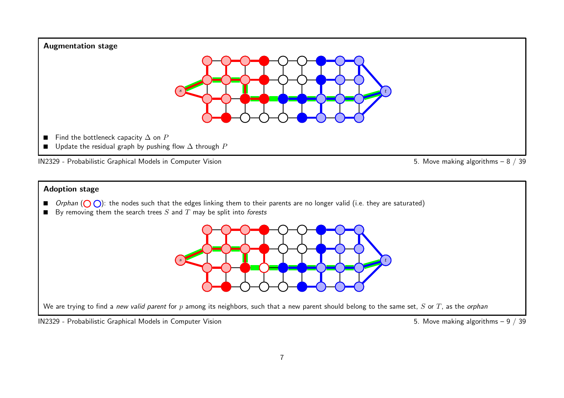<span id="page-6-1"></span><span id="page-6-0"></span>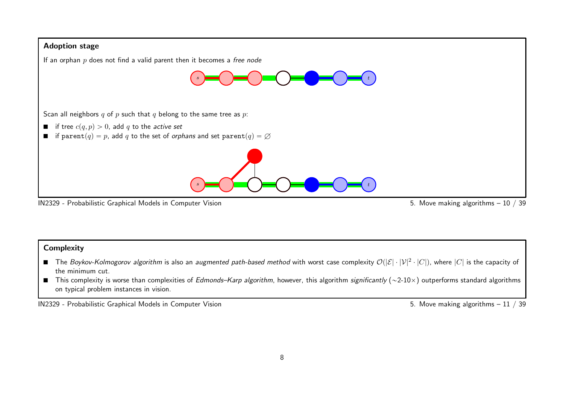

### **Complexity**

- The Boykov-Kolmogorov algorithm is also an augmented path-based method with worst case complexity  $\mathcal{O}(|\mathcal{E}| \cdot |\mathcal{V}|^2 \cdot |C|)$ , where  $|C|$  is the capacity of the minimum cut.
- This complexity is worse than complexities of Edmonds–Karp algorithm, however, this algorithm significantly ( $\sim$ 2-10 $\times$ ) outperforms standard algorithms on typical problem instances in vision.

<span id="page-7-0"></span>IN2329 - Probabilistic Graphical Models in Computer Vision 6. Move making algorithms – 11 / 39

<span id="page-7-1"></span>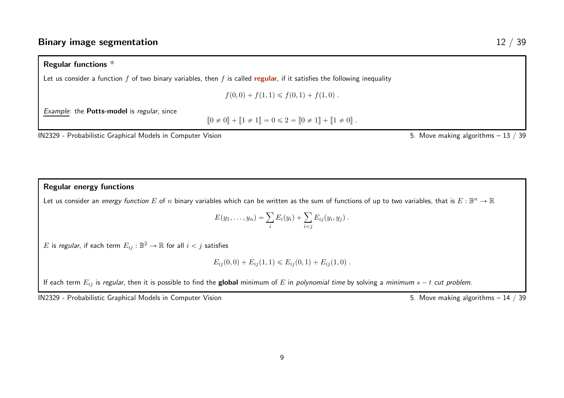# Binary image segmentation and the set of the set of the set of the set of the set of the set of the set of the set of the set of the set of the set of the set of the set of the set of the set of the set of the set of the s

#### Regular functions ˚

Let us consider a function f of two binary variables, then f is called regular, if it satisfies the following inequality

$$
f(0,0) + f(1,1) \leq f(0,1) + f(1,0) .
$$

Example: the **Potts-model** is regular, since

$$
[0 \neq 0] + [1 \neq 1] = 0 \leq 2 = [0 \neq 1] + [1 \neq 0].
$$

IN2329 - Probabilistic Graphical Models in Computer Vision 6. Move making algorithms – 13 / 39

#### Regular energy functions

Let us consider an energy function E of n binary variables which can be written as the sum of functions of up to two variables, that is  $E: \mathbb{B}^n \to \mathbb{R}$ 

$$
E(y_1,..., y_n) = \sum_i E_i(y_i) + \sum_{i < j} E_{ij}(y_i, y_j) \; .
$$

E is regular, if each term  $E_{ij} : \mathbb{B}^2 \to \mathbb{R}$  for all  $i < j$  satisfies

<span id="page-8-1"></span><span id="page-8-0"></span> $E_{ij}(0, 0) + E_{ij}(1, 1) \leqslant E_{ij}(0, 1) + E_{ij}(1, 0)$ .

If each term  $E_{ij}$  is regular, then it is possible to find the global minimum of E in polynomial time by solving a minimum  $s - t$  cut problem.

IN2329 - Probabilistic Graphical Models in Computer Vision 6. Move making algorithms – 14 / 39

<span id="page-8-2"></span>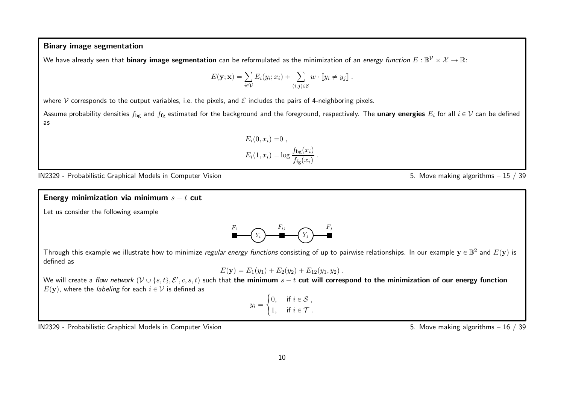#### Binary image segmentation

We have already seen that **binary image segmentation** can be reformulated as the minimization of an energy function  $E: \mathbb{B}^{\mathcal{V}} \times \mathcal{X} \to \mathbb{R}$ :

$$
E(\mathbf{y}; \mathbf{x}) = \sum_{i \in \mathcal{V}} E_i(y_i; x_i) + \sum_{(i,j) \in \mathcal{E}} w \cdot [y_i \neq y_j].
$$

where V corresponds to the output variables, i.e. the pixels, and  $\mathcal E$  includes the pairs of 4-neighboring pixels.

Assume probability densities  $f_{bg}$  and  $f_{fg}$  estimated for the background and the foreground, respectively. The **unary energies**  $E_i$  for all  $i \in V$  can be defined as

$$
E_i(0, x_i) = 0,
$$
  

$$
E_i(1, x_i) = \log \frac{f_{\text{bg}}(x_i)}{f_{\text{fg}}(x_i)}.
$$

IN2329 - Probabilistic Graphical Models in Computer Vision 5. Move making algorithms – 15 / 39

#### Energy minimization via minimum  $s - t$  cut

Let us consider the following example



Through this example we illustrate how to minimize regular energy functions consisting of up to pairwise relationships. In our example  $y \in \mathbb{B}^2$  and  $E(y)$  is defined as

$$
E(\mathbf{y}) = E_1(y_1) + E_2(y_2) + E_{12}(y_1, y_2).
$$

We will create a flow network  $(\mathcal{V} \cup \{s, t\}, \mathcal{E}', c, s, t)$  such that the minimum  $s - t$  cut will correspond to the minimization of our energy function  $E(\mathbf{y})$ , where the *labeling* for each  $i \in \mathcal{V}$  is defined as

<span id="page-9-0"></span>
$$
y_i = \begin{cases} 0, & \text{if } i \in \mathcal{S} , \\ 1, & \text{if } i \in \mathcal{T} . \end{cases}
$$

IN2329 - Probabilistic Graphical Models in Computer Vision 6. Move making algorithms – 16 / 39

<span id="page-9-1"></span>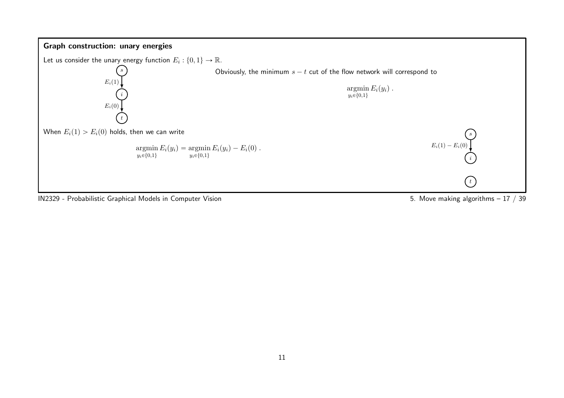

<span id="page-10-0"></span>IN2329 - Probabilistic Graphical Models in Computer Vision 6. Move making algorithms – 17 / 39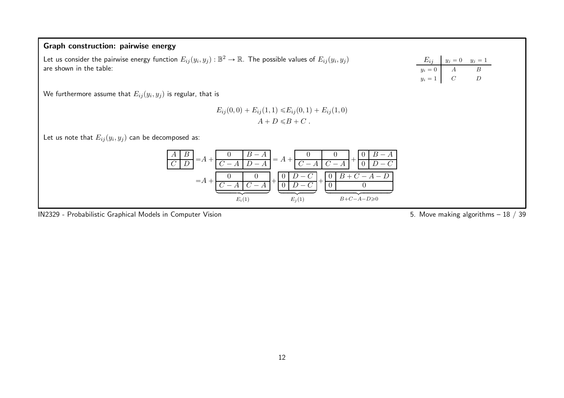

<span id="page-11-0"></span>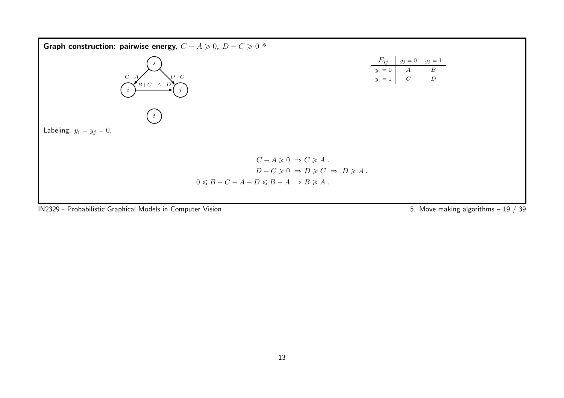

<span id="page-12-0"></span>5. Move making algorithms  $-19$  / 39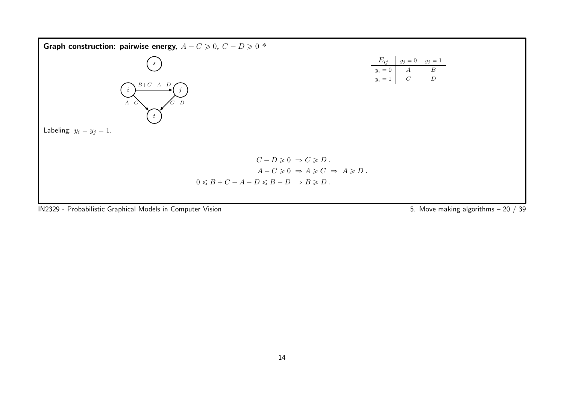

<span id="page-13-0"></span>5. Move making algorithms  $-20 / 39$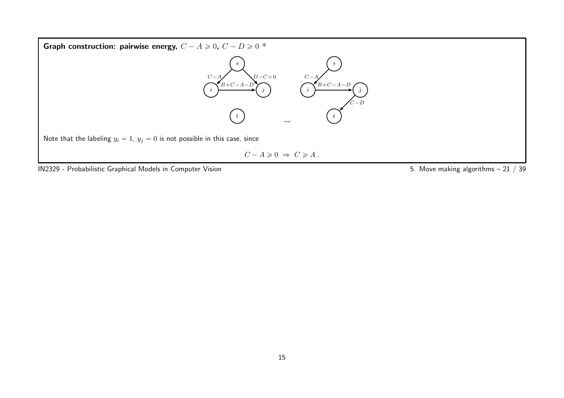Graph construction: pairwise energy,  $C - A \geqslant 0$ ,  $C - D \geqslant 0$  \*



Note that the labeling  $y_i = 1$ ,  $y_j = 0$  is not possible in this case, since

<span id="page-14-0"></span>
$$
C - A \geq 0 \Rightarrow C \geq A .
$$

IN2329 - Probabilistic Graphical Models in Computer Vision 5. Move making algorithms – 21 / 39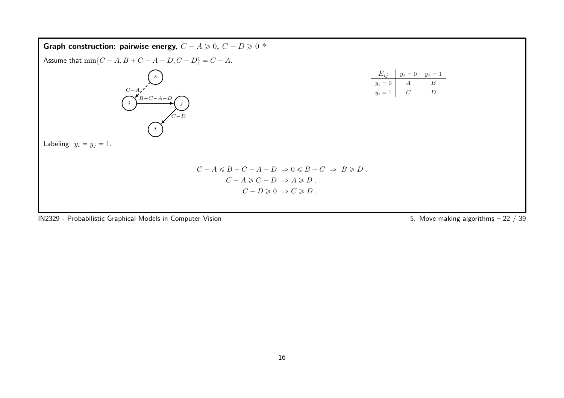| Graph construction: pairwise energy, $C - A \ge 0$ , $C - D \ge 0$ <sup>*</sup>                                                                                 |                                                                              |
|-----------------------------------------------------------------------------------------------------------------------------------------------------------------|------------------------------------------------------------------------------|
| Assume that $\min\{C - A, B + C - A - D, C - D\} = C - A$ .                                                                                                     |                                                                              |
| $C-A$<br>$\sum_{B+C-A-D}$<br>$C-D$                                                                                                                              | $E_{ij}$ $y_j = 0$ $y_j = 1$<br>$y_i = 0$<br>$A$ $B$<br>$C$ $D$<br>$y_i = 1$ |
| Labeling: $y_i = y_j = 1$ .                                                                                                                                     |                                                                              |
| $C-A \le B+C-A-D \Rightarrow 0 \le B-C \Rightarrow B \ge D$ .<br>$C-A \geqslant C-D \Rightarrow A \geqslant D$ .<br>$C-D\geqslant 0 \Rightarrow C\geqslant D$ . |                                                                              |

<span id="page-15-0"></span>5. Move making algorithms  $-22 / 39$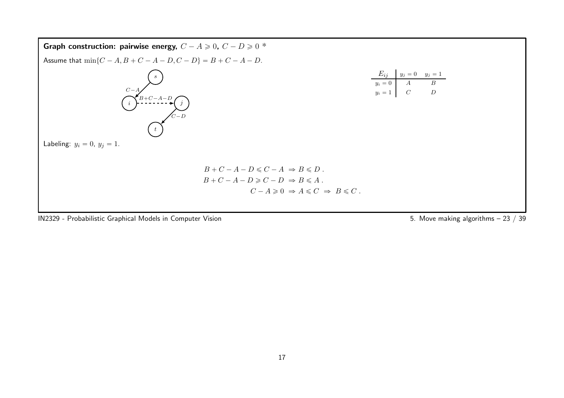

<span id="page-16-0"></span>5. Move making algorithms  $-23 / 39$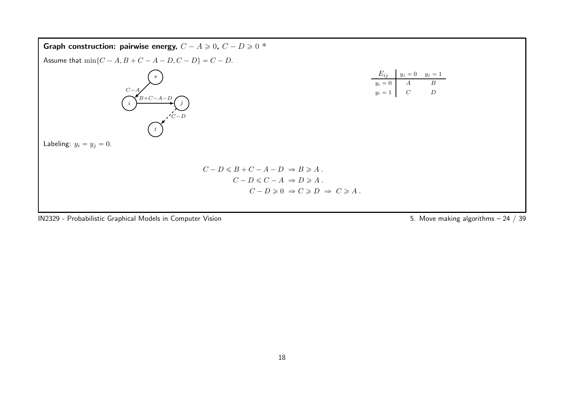| Graph construction: pairwise energy, $C - A \ge 0$ , $C - D \ge 0$ <sup>*</sup>      |                                                                                   |
|--------------------------------------------------------------------------------------|-----------------------------------------------------------------------------------|
| Assume that $\min\{C - A, B + C - A - D, C - D\} = C - D$ .                          |                                                                                   |
| $C-A$<br>$B + C - A - D$<br>$\mathcal{L}$                                            | $E_{ij}$ $y_j = 0$ $y_j = 1$<br>$y_i = 0$ $A$ $B$<br>$y_i = 1$ $C$ $D$<br>$y_i=1$ |
| Labeling: $y_i = y_j = 0$ .                                                          |                                                                                   |
| $C-D \le B+C-A-D \Rightarrow B \ge A$ .<br>$C - D \leq C - A \Rightarrow D \geq A$ . |                                                                                   |
| $C-D\geq 0 \Rightarrow C\geq D \Rightarrow C\geq A$ .                                |                                                                                   |
|                                                                                      |                                                                                   |

<span id="page-17-0"></span>5. Move making algorithms  $-$  24  $/$  39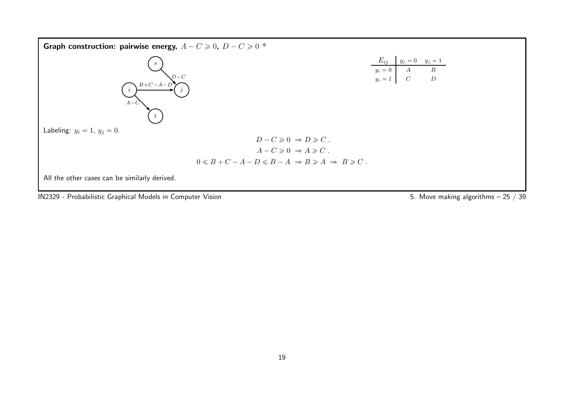

<span id="page-18-0"></span>5. Move making algorithms  $-25 / 39$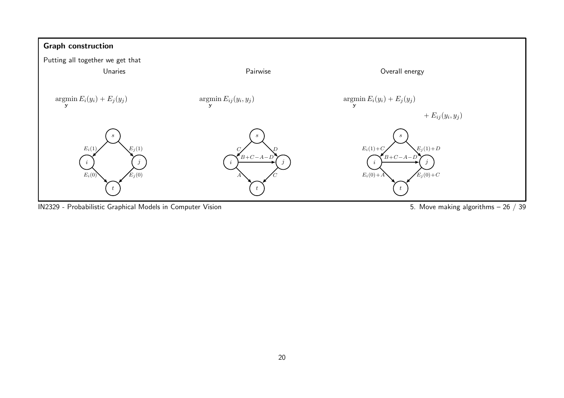

<span id="page-19-0"></span>IN2329 - Probabilistic Graphical Models in Computer Vision 6. Move making algorithms – 26 / 39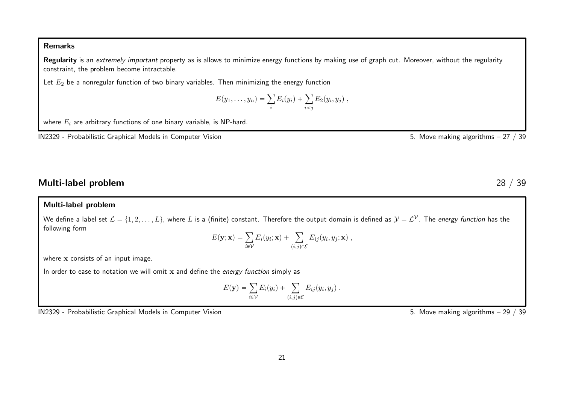#### Remarks

Regularity is an extremely important property as is allows to minimize energy functions by making use of graph cut. Moreover, without the regularity constraint, the problem become intractable.

Let  $\emph{E}_{2}$  be a nonregular function of two binary variables. Then minimizing the energy function

$$
E(y_1,..., y_n) = \sum_i E_i(y_i) + \sum_{i < j} E_2(y_i, y_j) \;,
$$

where  $E_i$  are arbitrary functions of one binary variable, is NP-hard.

IN2329 - Probabilistic Graphical Models in Computer Vision 5. Move making algorithms – 27 / 39

# Multi-label problem <sup>28</sup> / <sup>39</sup>

#### Multi-label problem

We define a label set  $\mathcal{L}=\{1,2,\ldots,L\}$ , where  $L$  is a (finite) constant. Therefore the output domain is defined as  $\mathcal{Y}=\mathcal{L}^\mathcal{V}$ . The *energy function* has the following form

$$
E(\mathbf{y}; \mathbf{x}) = \sum_{i \in \mathcal{V}} E_i(y_i; \mathbf{x}) + \sum_{(i,j) \in \mathcal{E}} E_{ij}(y_i, y_j; \mathbf{x}),
$$

where <sup>x</sup> consists of an input image.

In order to ease to notation we will omit **x** and define the *energy function* simply as

<span id="page-20-0"></span>
$$
E(\mathbf{y}) = \sum_{i \in \mathcal{V}} E_i(y_i) + \sum_{(i,j) \in \mathcal{E}} E_{ij}(y_i, y_j) .
$$

IN2329 - Probabilistic Graphical Models in Computer Vision 5. Move making algorithms – 29 / 39

<span id="page-20-2"></span><span id="page-20-1"></span>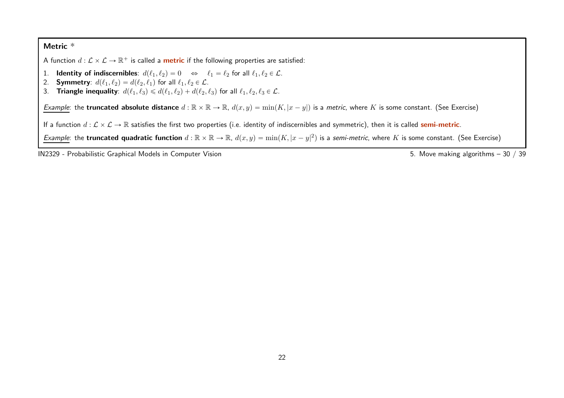#### Metric ˚

A function  $d: \mathcal{L} \times \mathcal{L} \to \mathbb{R}^+$  is called a **metric** if the following properties are satisfied:

- 1. **Identity of indiscernibles**:  $d(\ell_1, \ell_2) = 0 \Leftrightarrow \ell_1 = \ell_2$  for all  $\ell_1, \ell_2 \in \mathcal{L}$ .
- 2. **Symmetry**:  $d(\ell_1, \ell_2) = d(\ell_2, \ell_1)$  for all  $\ell_1, \ell_2 \in \mathcal{L}$ .
- 3. Triangle inequality:  $d(\ell_1, \ell_3) \leq d(\ell_1, \ell_2) + d(\ell_2, \ell_3)$  for all  $\ell_1, \ell_2, \ell_3 \in \mathcal{L}$ .

Example: the **truncated absolute distance**  $d : \mathbb{R} \times \mathbb{R} \to \mathbb{R}$ ,  $d(x, y) = min(K, |x - y|)$  is a metric, where K is some constant. (See Exercise)

If a function  $d: \mathcal{L} \times \mathcal{L} \to \mathbb{R}$  satisfies the first two properties (i.e. identity of indiscernibles and symmetric), then it is called semi-metric.

Example: the **truncated quadratic function**  $d : \mathbb{R} \times \mathbb{R} \to \mathbb{R}$ ,  $d(x, y) = \min(K, |x - y|^2)$  is a semi-metric, where K is some constant. (See Exercise)

<span id="page-21-0"></span>IN2329 - Probabilistic Graphical Models in Computer Vision 6. Move making algorithms – 30 / 39

<span id="page-21-1"></span>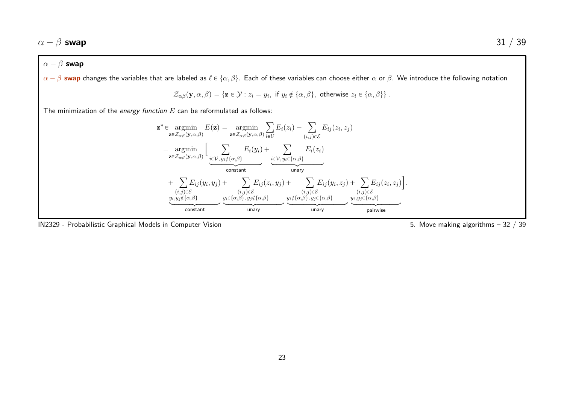## $\alpha - \beta$  swap

 $\alpha - \beta$  swap changes the variables that are labeled as  $\ell \in \{\alpha, \beta\}$ . Each of these variables can choose either  $\alpha$  or  $\beta$ . We introduce the following notation

 $\mathcal{Z}_{\alpha\beta}(\mathbf{y}, \alpha, \beta) = \{ \mathbf{z} \in \mathcal{Y} : z_i = y_i, \text{ if } y_i \notin \{ \alpha, \beta \}, \text{ otherwise } z_i \in \{ \alpha, \beta \} \}$ .

The minimization of the energy function  $E$  can be reformulated as follows:

$$
\mathbf{z}^* \in \underset{\mathbf{z} \in \mathcal{Z}_{\alpha\beta}(\mathbf{y}, \alpha, \beta)}{\operatorname{argmin}} E(\mathbf{z}) = \underset{\mathbf{z} \in \mathcal{Z}_{\alpha\beta}(\mathbf{y}, \alpha, \beta)}{\operatorname{argmin}} \sum_{i \in \mathcal{V}} E_i(z_i) + \sum_{(i,j) \in \mathcal{E}} E_{ij}(z_i, z_j)
$$
\n
$$
= \underset{\mathbf{z} \in \mathcal{Z}_{\alpha\beta}(\mathbf{y}, \alpha, \beta)}{\operatorname{argmin}} \Big[ \underbrace{\sum_{i \in \mathcal{V}, y_i \notin \{\alpha, \beta\}} E_i(y_i)}_{\text{constant}} + \underbrace{\sum_{i \in \mathcal{V}, y_i \in \{\alpha, \beta\}} E_{ij}(z_i, y_j)}_{\text{constant}} + \underbrace{\sum_{(i,j) \in \mathcal{E}} E_{ij}(y_i, y_j)}_{\text{constant}} + \underbrace{\sum_{(i,j) \in \mathcal{E}} E_{ij}(z_i, y_j)}_{\text{constant}} + \underbrace{\sum_{(i,j) \in \mathcal{E}} E_{ij}(z_i, y_j)}_{\text{constant}} + \underbrace{\sum_{(i,j) \in \mathcal{E}} E_{ij}(z_i, y_j)}_{\text{unary}} + \underbrace{\sum_{(i,j) \in \mathcal{E}} E_{ij}(y_i, z_j)}_{\text{unary}} + \underbrace{\sum_{(i,j) \in \mathcal{E}} E_{ij}(z_i, z_j)}_{\text{unary}} \Big].
$$

<span id="page-22-0"></span>IN2329 - Probabilistic Graphical Models in Computer Vision 5. Move making algorithms – 32 / 39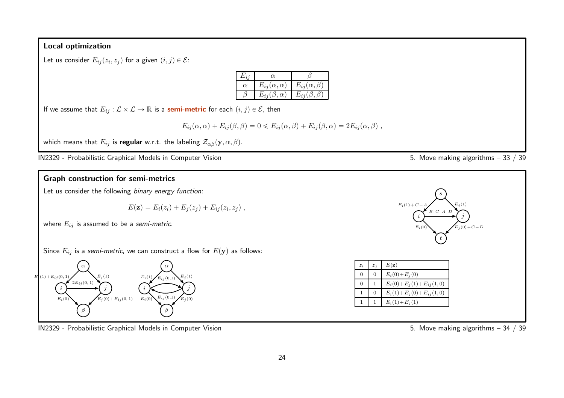#### Local optimization

Let us consider  $E_{ij}(z_i, z_j)$  for a given  $(i, j) \in \mathcal{E}$ :

|          | $\alpha$                |                         |
|----------|-------------------------|-------------------------|
| $\alpha$ | $E_{ij}(\alpha,\alpha)$ | $E_{ij}(\alpha, \beta)$ |
|          | $E_{ij}(\beta,\alpha)$  | $E_{ii}(\beta$ .        |

If we assume that  $E_{ij}: \mathcal{L} \times \mathcal{L} \to \mathbb{R}$  is a semi-metric for each  $(i, j) \in \mathcal{E}$ , then

$$
E_{ij}(\alpha,\alpha)+E_{ij}(\beta,\beta)=0\leqslant E_{ij}(\alpha,\beta)+E_{ij}(\beta,\alpha)=2E_{ij}(\alpha,\beta),
$$

which means that  $E_{ij}$  is regular w.r.t. the labeling  $\mathcal{Z}_{\alpha\beta}(\mathbf{y}, \alpha, \beta)$ .

IN2329 - Probabilistic Graphical Models in Computer Vision 6. Move making algorithms – 33 / 39





<span id="page-23-0"></span>

<span id="page-23-1"></span>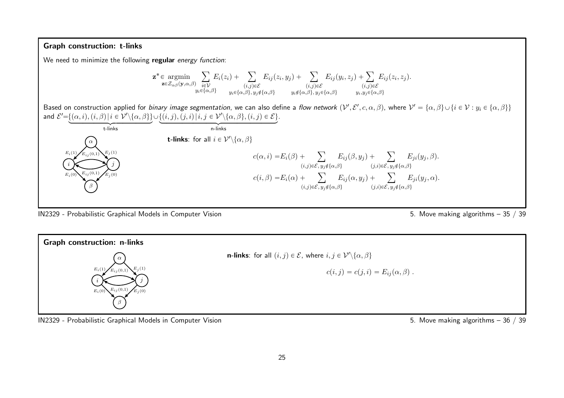

IN2329 - Probabilistic Graphical Models in Computer Vision 5. Move making algorithms – <sup>35</sup> / <sup>39</sup>



<span id="page-24-0"></span>IN2329 - Probabilistic Graphical Models in Computer Vision 5. Move making algorithms – <sup>36</sup> / <sup>39</sup>

<span id="page-24-1"></span>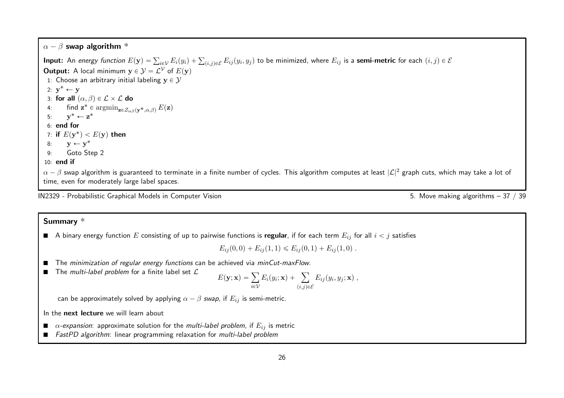#### $\alpha - \beta$  swap algorithm  $*$

Input: An energy function  $E(\mathbf{y}) = \sum_{i\in\mathcal{V}} E_i(y_i) + \sum_{(i,j)\in\mathcal{E}} E_{ij}(y_i, y_j)$  to be minimized, where  $E_{ij}$  is a semi-metric for each  $(i, j) \in \mathcal{E}$ **Output:** A local minimum  $y \in \mathcal{Y} = \mathcal{L}^{\mathcal{V}}$  of  $E(y)$ 1: Choose an arbitrary initial labeling  $y \in \mathcal{Y}$ 2:  $y^* \leftarrow y$ 3: for all  $(\alpha, \beta) \in \mathcal{L} \times \mathcal{L}$  do 4: find  $\mathbf{z}^* \in \operatorname{argmin}_{\mathbf{z} \in \mathcal{Z}_{\alpha\beta}(\mathbf{y}^*, \alpha, \beta)} E(\mathbf{z})$ 5:  $V^* \leftarrow Z^*$ 6: end for 7: if  $E(y^*) < E(y)$  then 8:  $V \leftarrow V^*$ 9: Goto Step 2 10: end if  $\alpha - \beta$  swap algorithm is guaranteed to terminate in a finite number of cycles. This algorithm computes at least  $|\mathcal{L}|^2$  graph cuts, which may take a lot of time, even for moderately large label spaces.

IN2329 - Probabilistic Graphical Models in Computer Vision 5. Move making algorithms – 37 / 39

<span id="page-25-1"></span>

## Summary ˚

A binary energy function E consisting of up to pairwise functions is regular, if for each term  $E_{ij}$  for all  $i < j$  satisfies

$$
E_{ij}(0,0) + E_{ij}(1,1) \leq E_{ij}(0,1) + E_{ij}(1,0) .
$$

- The minimization of regular energy functions can be achieved via minCut-maxFlow.
- The multi-label problem for a finite label set  $\mathcal{L}$

<span id="page-25-0"></span>
$$
E(\mathbf{y}; \mathbf{x}) = \sum_{i \in \mathcal{V}} E_i(y_i; \mathbf{x}) + \sum_{(i,j) \in \mathcal{E}} E_{ij}(y_i, y_j; \mathbf{x}),
$$

can be approximately solved by applying  $\alpha - \beta$  swap, if  $E_{ij}$  is semi-metric.

In the next lecture we will learn about

- $\blacksquare$   $\alpha$ -expansion: approximate solution for the multi-label problem, if  $E_{ij}$  is metric
- FastPD algorithm: linear programming relaxation for multi-label problem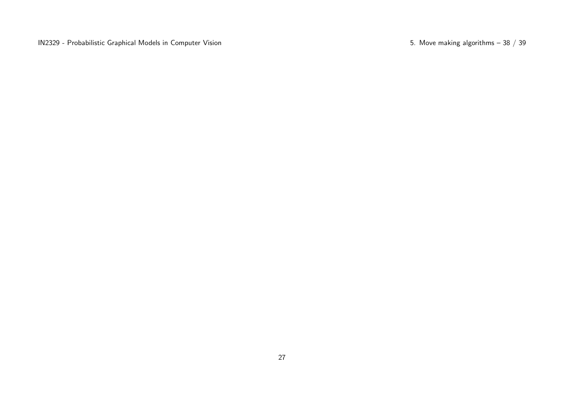IN2329 - Probabilistic Graphical Models in Computer Vision 5. Move making algorithms – 38 / 39